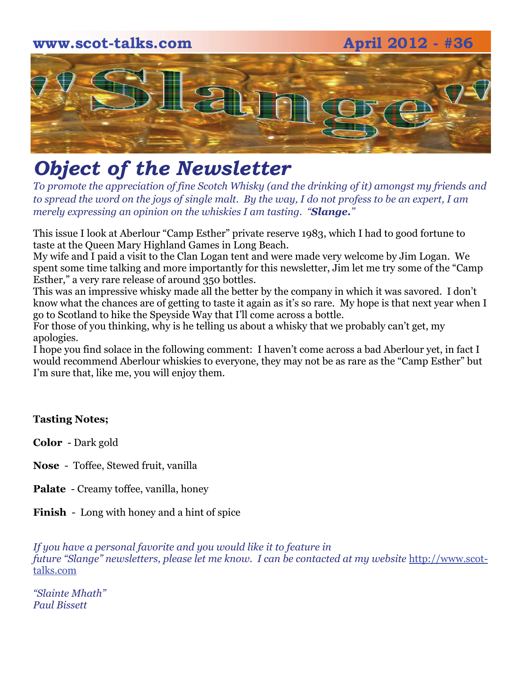# **www.scot-talks.com April 2012 - #36** [2]

# *Object of the Newsletter*

*To promote the appreciation of fine Scotch Whisky (and the drinking of it) amongst my friends and to spread the word on the joys of single malt. By the way, I do not profess to be an expert, I am merely expressing an opinion on the whiskies I am tasting. "Slange."* 

This issue I look at Aberlour "Camp Esther" private reserve 1983, which I had to good fortune to taste at the Queen Mary Highland Games in Long Beach.

My wife and I paid a visit to the Clan Logan tent and were made very welcome by Jim Logan. We spent some time talking and more importantly for this newsletter, Jim let me try some of the "Camp Esther," a very rare release of around 350 bottles.

This was an impressive whisky made all the better by the company in which it was savored. I don't know what the chances are of getting to taste it again as it's so rare. My hope is that next year when I go to Scotland to hike the Speyside Way that I'll come across a bottle.

For those of you thinking, why is he telling us about a whisky that we probably can't get, my apologies.

I hope you find solace in the following comment: I haven't come across a bad Aberlour yet, in fact I would recommend Aberlour whiskies to everyone, they may not be as rare as the "Camp Esther" but I'm sure that, like me, you will enjoy them.

#### **Tasting Notes;**

**Color** - Dark gold

- **Nose**  Toffee, Stewed fruit, vanilla
- **Palate**  Creamy toffee, vanilla, honey
- **Finish**  Long with honey and a hint of spice

*If you have a personal favorite and you would like it to feature in future "Slange" newsletters, please let me know. I can be contacted at my website* [http://www.scot](http://www.scot-talks.com/default.html)[talks.com](http://www.scot-talks.com/default.html)

*"Slainte Mhath" Paul Bissett*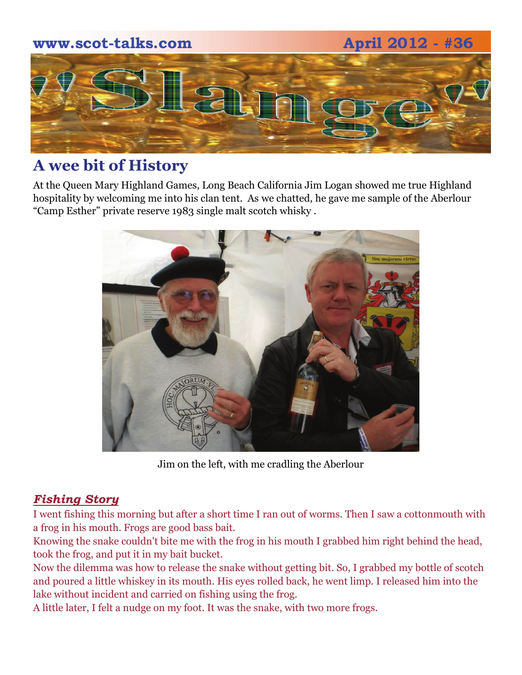

### **A wee bit of History**

At the Queen Mary Highland Games, Long Beach California Jim Logan showed me true Highland hospitality by welcoming me into his clan tent. As we chatted, he gave me sample of the Aberlour "Camp Esther" private reserve 1983 single malt scotch whisky .



Jim on the left, with me cradling the Aberlour

#### *Fishing Story*

I went fishing this morning but after a short time I ran out of worms. Then I saw a cottonmouth with a frog in his mouth. Frogs are good bass bait.

Knowing the snake couldn't bite me with the frog in his mouth I grabbed him right behind the head, took the frog, and put it in my bait bucket.

Now the dilemma was how to release the snake without getting bit. So, I grabbed my bottle of scotch and poured a little whiskey in its mouth. His eyes rolled back, he went limp. I released him into the lake without incident and carried on fishing using the frog.

A little later, I felt a nudge on my foot. It was the snake, with two more frogs.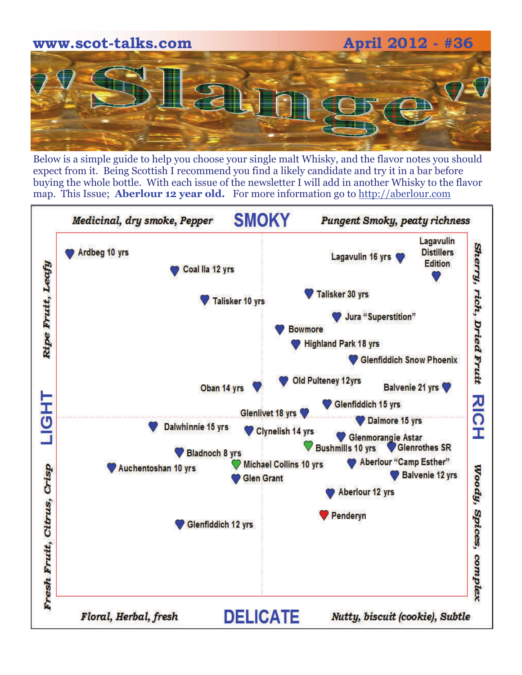

Below is a simple guide to help you choose your single malt Whisky, and the flavor notes you should expect from it. Being Scottish I recommend you find a likely candidate and try it in a bar before buying the whole bottle. With each issue of the newsletter I will add in another Whisky to the flavor map. This Issue; **Aberlour 12 year old.** For more information go to [http://aberlour.com](http://aberlour.com/)